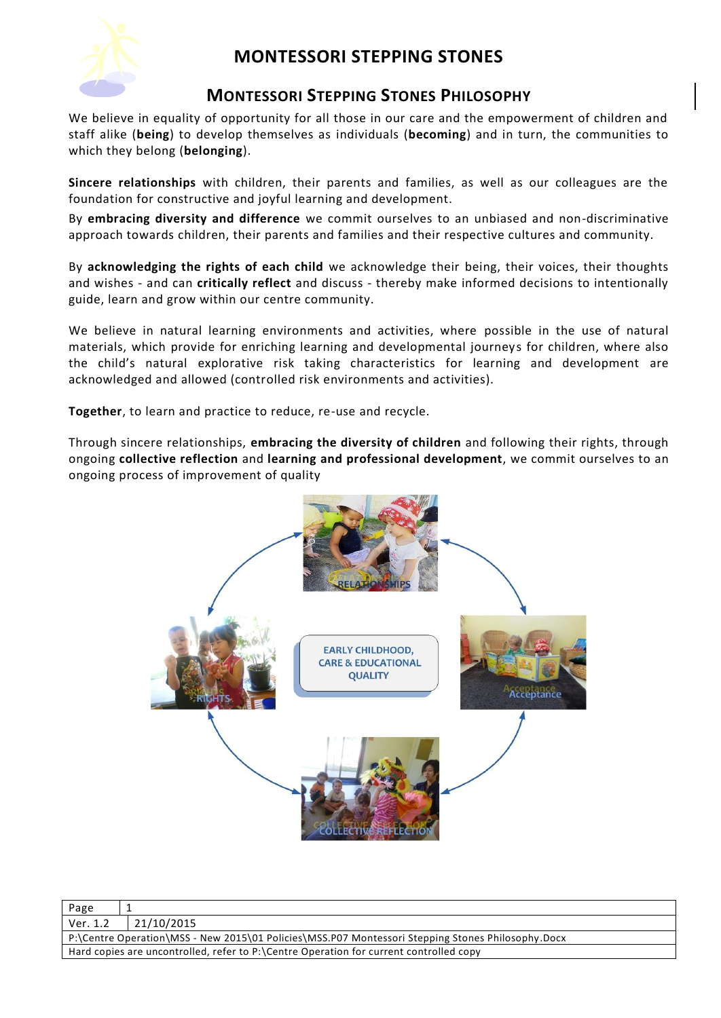

# **MONTESSORI STEPPING STONES**

### **MONTESSORI STEPPING STONES PHILOSOPHY**

We believe in equality of opportunity for all those in our care and the empowerment of children and staff alike (**being**) to develop themselves as individuals (**becoming**) and in turn, the communities to which they belong (**belonging**).

**Sincere relationships** with children, their parents and families, as well as our colleagues are the foundation for constructive and joyful learning and development.

By **embracing diversity and difference** we commit ourselves to an unbiased and non-discriminative approach towards children, their parents and families and their respective cultures and community.

By **acknowledging the rights of each child** we acknowledge their being, their voices, their thoughts and wishes - and can **critically reflect** and discuss - thereby make informed decisions to intentionally guide, learn and grow within our centre community.

We believe in natural learning environments and activities, where possible in the use of natural materials, which provide for enriching learning and developmental journeys for children, where also the child's natural explorative risk taking characteristics for learning and development are acknowledged and allowed (controlled risk environments and activities).

**Together**, to learn and practice to reduce, re-use and recycle.

Through sincere relationships, **embracing the diversity of children** and following their rights, through ongoing **collective reflection** and **learning and professional development**, we commit ourselves to an ongoing process of improvement of quality



| Page                                                                                              |            |  |
|---------------------------------------------------------------------------------------------------|------------|--|
| Ver. 1.2                                                                                          | 21/10/2015 |  |
| P:\Centre Operation\MSS - New 2015\01 Policies\MSS.P07 Montessori Stepping Stones Philosophy.Docx |            |  |
| Hard copies are uncontrolled, refer to P:\Centre Operation for current controlled copy            |            |  |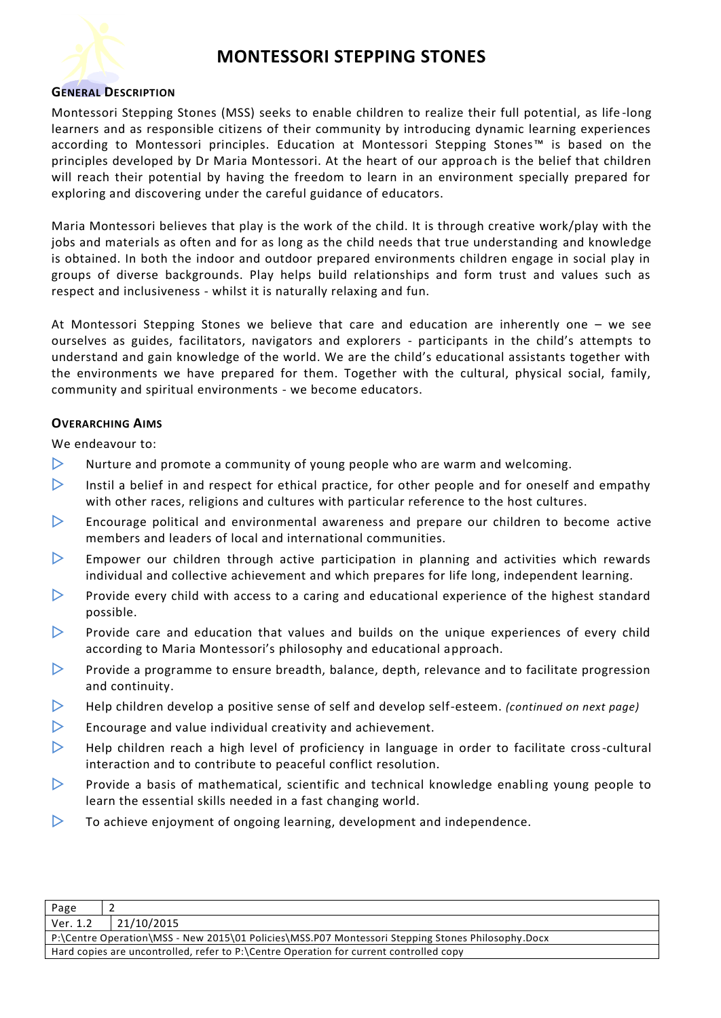

### **MONTESSORI STEPPING STONES**

#### **GENERAL DESCRIPTION**

Montessori Stepping Stones (MSS) seeks to enable children to realize their full potential, as life -long learners and as responsible citizens of their community by introducing dynamic learning experiences according to Montessori principles. Education at Montessori Stepping Stones™ is based on the principles developed by Dr Maria Montessori. At the heart of our approach is the belief that children will reach their potential by having the freedom to learn in an environment specially prepared for exploring and discovering under the careful guidance of educators.

Maria Montessori believes that play is the work of the child. It is through creative work/play with the jobs and materials as often and for as long as the child needs that true understanding and knowledge is obtained. In both the indoor and outdoor prepared environments children engage in social play in groups of diverse backgrounds. Play helps build relationships and form trust and values such as respect and inclusiveness - whilst it is naturally relaxing and fun.

At Montessori Stepping Stones we believe that care and education are inherently one – we see ourselves as guides, facilitators, navigators and explorers - participants in the child's attempts to understand and gain knowledge of the world. We are the child's educational assistants together with the environments we have prepared for them. Together with the cultural, physical social, family, community and spiritual environments - we become educators.

#### **OVERARCHING AIMS**

We endeavour to:

- $\triangleright$  Nurture and promote a community of young people who are warm and welcoming.
- Instil a belief in and respect for ethical practice, for other people and for oneself and empathy with other races, religions and cultures with particular reference to the host cultures.
- $\triangleright$  Encourage political and environmental awareness and prepare our children to become active members and leaders of local and international communities.
- $\triangleright$  Empower our children through active participation in planning and activities which rewards individual and collective achievement and which prepares for life long, independent learning.
- $\triangleright$  Provide every child with access to a caring and educational experience of the highest standard possible.
- $\triangleright$  Provide care and education that values and builds on the unique experiences of every child according to Maria Montessori's philosophy and educational approach.
- **Provide a programme to ensure breadth, balance, depth, relevance and to facilitate progression** and continuity.
- Help children develop a positive sense of self and develop self-esteem. *(continued on next page)*
- $\triangleright$  Encourage and value individual creativity and achievement.
- $\triangleright$  Help children reach a high level of proficiency in language in order to facilitate cross-cultural interaction and to contribute to peaceful conflict resolution.
- **Provide a basis of mathematical, scientific and technical knowledge enabling young people to** learn the essential skills needed in a fast changing world.
- $\triangleright$  To achieve enjoyment of ongoing learning, development and independence.

| Page                                                                                              |            |  |
|---------------------------------------------------------------------------------------------------|------------|--|
| Ver. 1.2                                                                                          | 21/10/2015 |  |
| P:\Centre Operation\MSS - New 2015\01 Policies\MSS.P07 Montessori Stepping Stones Philosophy.Docx |            |  |
| Hard copies are uncontrolled, refer to P:\Centre Operation for current controlled copy            |            |  |